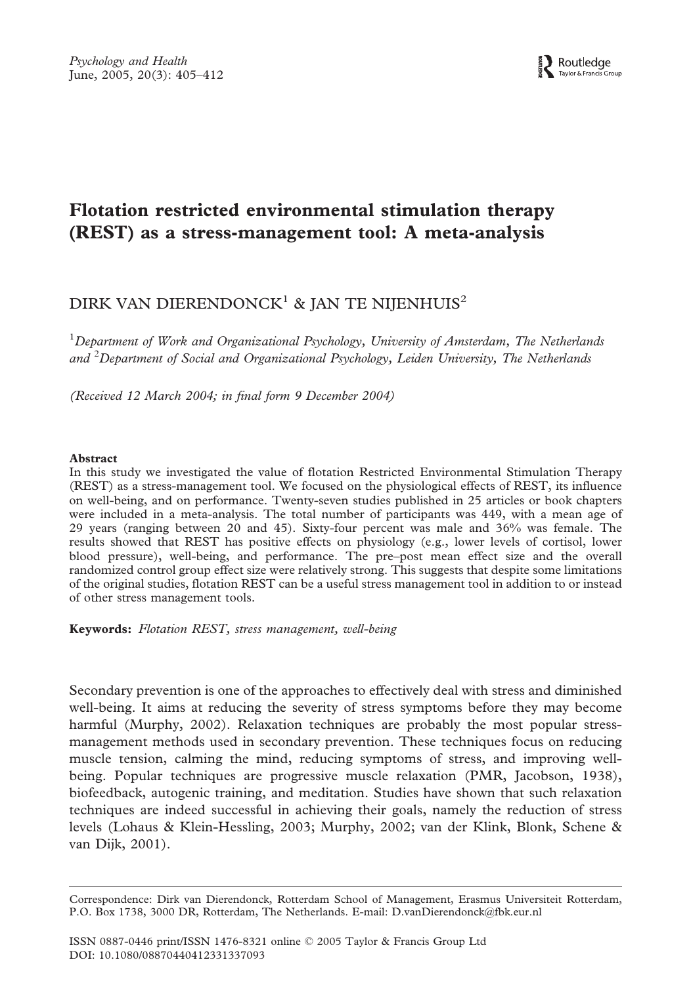# Flotation restricted environmental stimulation therapy (REST) as a stress-management tool: A meta-analysis

# DIRK VAN DIERENDONCK<sup>1</sup> & JAN TE NIJENHUIS<sup>2</sup>

<sup>1</sup>Department of Work and Organizational Psychology, University of Amsterdam, The Netherlands and *<sup>2</sup>* Department of Social and Organizational Psychology, Leiden University, The Netherlands

(Received 12 March 2004; in final form 9 December 2004)

# Abstract

In this study we investigated the value of flotation Restricted Environmental Stimulation Therapy (REST) as a stress-management tool. We focused on the physiological effects of REST, its influence on well-being, and on performance. Twenty-seven studies published in 25 articles or book chapters were included in a meta-analysis. The total number of participants was 449, with a mean age of 29 years (ranging between 20 and 45). Sixty-four percent was male and 36% was female. The results showed that REST has positive effects on physiology (e.g., lower levels of cortisol, lower blood pressure), well-being, and performance. The pre–post mean effect size and the overall randomized control group effect size were relatively strong. This suggests that despite some limitations of the original studies, flotation REST can be a useful stress management tool in addition to or instead of other stress management tools.

Keywords: Flotation REST, stress management, well-being

Secondary prevention is one of the approaches to effectively deal with stress and diminished well-being. It aims at reducing the severity of stress symptoms before they may become harmful (Murphy, 2002). Relaxation techniques are probably the most popular stressmanagement methods used in secondary prevention. These techniques focus on reducing muscle tension, calming the mind, reducing symptoms of stress, and improving wellbeing. Popular techniques are progressive muscle relaxation (PMR, Jacobson, 1938), biofeedback, autogenic training, and meditation. Studies have shown that such relaxation techniques are indeed successful in achieving their goals, namely the reduction of stress levels (Lohaus & Klein-Hessling, 2003; Murphy, 2002; van der Klink, Blonk, Schene & van Dijk, 2001).

Correspondence: Dirk van Dierendonck, Rotterdam School of Management, Erasmus Universiteit Rotterdam, P.O. Box 1738, 3000 DR, Rotterdam, The Netherlands. E-mail: D.vanDierendonck@fbk.eur.nl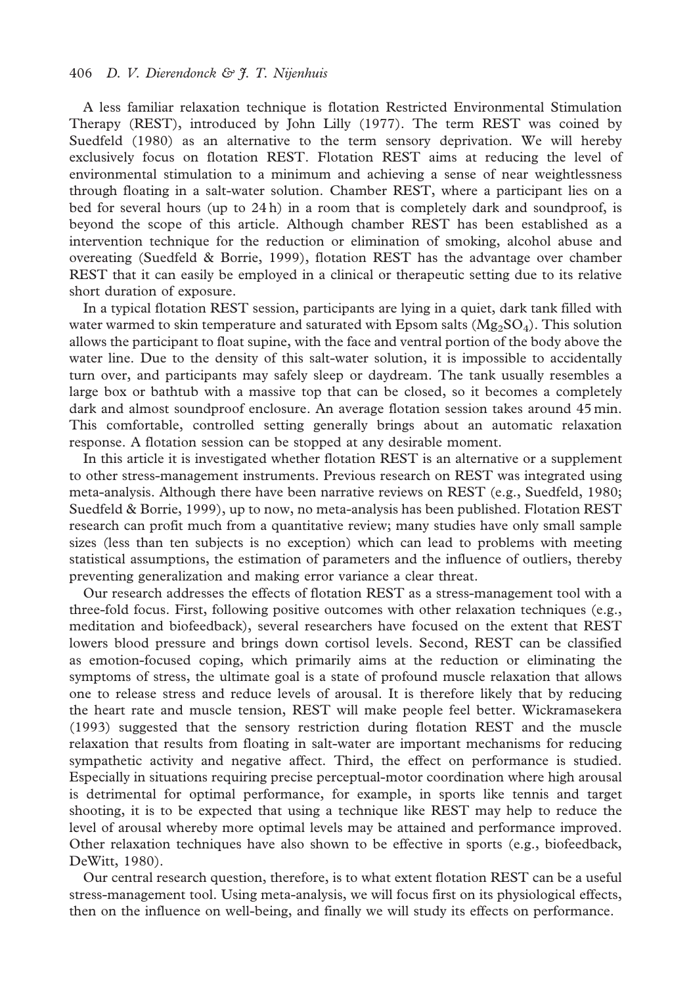# 406 D. V. Dierendonck & J. T. Nijenhuis

A less familiar relaxation technique is flotation Restricted Environmental Stimulation Therapy (REST), introduced by John Lilly (1977). The term REST was coined by Suedfeld (1980) as an alternative to the term sensory deprivation. We will hereby exclusively focus on flotation REST. Flotation REST aims at reducing the level of environmental stimulation to a minimum and achieving a sense of near weightlessness through floating in a salt-water solution. Chamber REST, where a participant lies on a bed for several hours (up to  $24 h$ ) in a room that is completely dark and soundproof, is beyond the scope of this article. Although chamber REST has been established as a intervention technique for the reduction or elimination of smoking, alcohol abuse and overeating (Suedfeld & Borrie, 1999), flotation REST has the advantage over chamber REST that it can easily be employed in a clinical or therapeutic setting due to its relative short duration of exposure.

In a typical flotation REST session, participants are lying in a quiet, dark tank filled with water warmed to skin temperature and saturated with Epsom salts  $(Mg_2SO_4)$ . This solution allows the participant to float supine, with the face and ventral portion of the body above the water line. Due to the density of this salt-water solution, it is impossible to accidentally turn over, and participants may safely sleep or daydream. The tank usually resembles a large box or bathtub with a massive top that can be closed, so it becomes a completely dark and almost soundproof enclosure. An average flotation session takes around 45 min. This comfortable, controlled setting generally brings about an automatic relaxation response. A flotation session can be stopped at any desirable moment.

In this article it is investigated whether flotation REST is an alternative or a supplement to other stress-management instruments. Previous research on REST was integrated using meta-analysis. Although there have been narrative reviews on REST (e.g., Suedfeld, 1980; Suedfeld & Borrie, 1999), up to now, no meta-analysis has been published. Flotation REST research can profit much from a quantitative review; many studies have only small sample sizes (less than ten subjects is no exception) which can lead to problems with meeting statistical assumptions, the estimation of parameters and the influence of outliers, thereby preventing generalization and making error variance a clear threat.

Our research addresses the effects of flotation REST as a stress-management tool with a three-fold focus. First, following positive outcomes with other relaxation techniques (e.g., meditation and biofeedback), several researchers have focused on the extent that REST lowers blood pressure and brings down cortisol levels. Second, REST can be classified as emotion-focused coping, which primarily aims at the reduction or eliminating the symptoms of stress, the ultimate goal is a state of profound muscle relaxation that allows one to release stress and reduce levels of arousal. It is therefore likely that by reducing the heart rate and muscle tension, REST will make people feel better. Wickramasekera (1993) suggested that the sensory restriction during flotation REST and the muscle relaxation that results from floating in salt-water are important mechanisms for reducing sympathetic activity and negative affect. Third, the effect on performance is studied. Especially in situations requiring precise perceptual-motor coordination where high arousal is detrimental for optimal performance, for example, in sports like tennis and target shooting, it is to be expected that using a technique like REST may help to reduce the level of arousal whereby more optimal levels may be attained and performance improved. Other relaxation techniques have also shown to be effective in sports (e.g., biofeedback, DeWitt, 1980).

Our central research question, therefore, is to what extent flotation REST can be a useful stress-management tool. Using meta-analysis, we will focus first on its physiological effects, then on the influence on well-being, and finally we will study its effects on performance.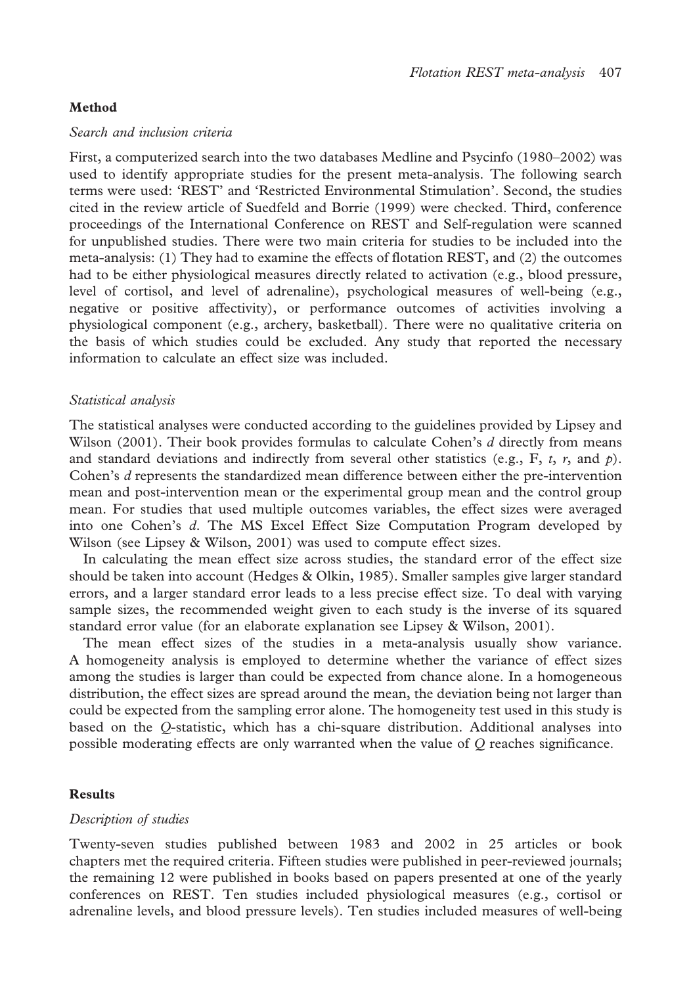# Method

#### Search and inclusion criteria

First, a computerized search into the two databases Medline and Psycinfo (1980–2002) was used to identify appropriate studies for the present meta-analysis. The following search terms were used: 'REST' and 'Restricted Environmental Stimulation'. Second, the studies cited in the review article of Suedfeld and Borrie (1999) were checked. Third, conference proceedings of the International Conference on REST and Self-regulation were scanned for unpublished studies. There were two main criteria for studies to be included into the meta-analysis: (1) They had to examine the effects of flotation REST, and (2) the outcomes had to be either physiological measures directly related to activation (e.g., blood pressure, level of cortisol, and level of adrenaline), psychological measures of well-being (e.g., negative or positive affectivity), or performance outcomes of activities involving a physiological component (e.g., archery, basketball). There were no qualitative criteria on the basis of which studies could be excluded. Any study that reported the necessary information to calculate an effect size was included.

# Statistical analysis

The statistical analyses were conducted according to the guidelines provided by Lipsey and Wilson  $(2001)$ . Their book provides formulas to calculate Cohen's d directly from means and standard deviations and indirectly from several other statistics (e.g., F, t, r, and  $p$ ). Cohen's d represents the standardized mean difference between either the pre-intervention mean and post-intervention mean or the experimental group mean and the control group mean. For studies that used multiple outcomes variables, the effect sizes were averaged into one Cohen's d. The MS Excel Effect Size Computation Program developed by Wilson (see Lipsey & Wilson, 2001) was used to compute effect sizes.

In calculating the mean effect size across studies, the standard error of the effect size should be taken into account (Hedges & Olkin, 1985). Smaller samples give larger standard errors, and a larger standard error leads to a less precise effect size. To deal with varying sample sizes, the recommended weight given to each study is the inverse of its squared standard error value (for an elaborate explanation see Lipsey & Wilson, 2001).

The mean effect sizes of the studies in a meta-analysis usually show variance. A homogeneity analysis is employed to determine whether the variance of effect sizes among the studies is larger than could be expected from chance alone. In a homogeneous distribution, the effect sizes are spread around the mean, the deviation being not larger than could be expected from the sampling error alone. The homogeneity test used in this study is based on the Q-statistic, which has a chi-square distribution. Additional analyses into possible moderating effects are only warranted when the value of  $Q$  reaches significance.

#### Results

#### Description of studies

Twenty-seven studies published between 1983 and 2002 in 25 articles or book chapters met the required criteria. Fifteen studies were published in peer-reviewed journals; the remaining 12 were published in books based on papers presented at one of the yearly conferences on REST. Ten studies included physiological measures (e.g., cortisol or adrenaline levels, and blood pressure levels). Ten studies included measures of well-being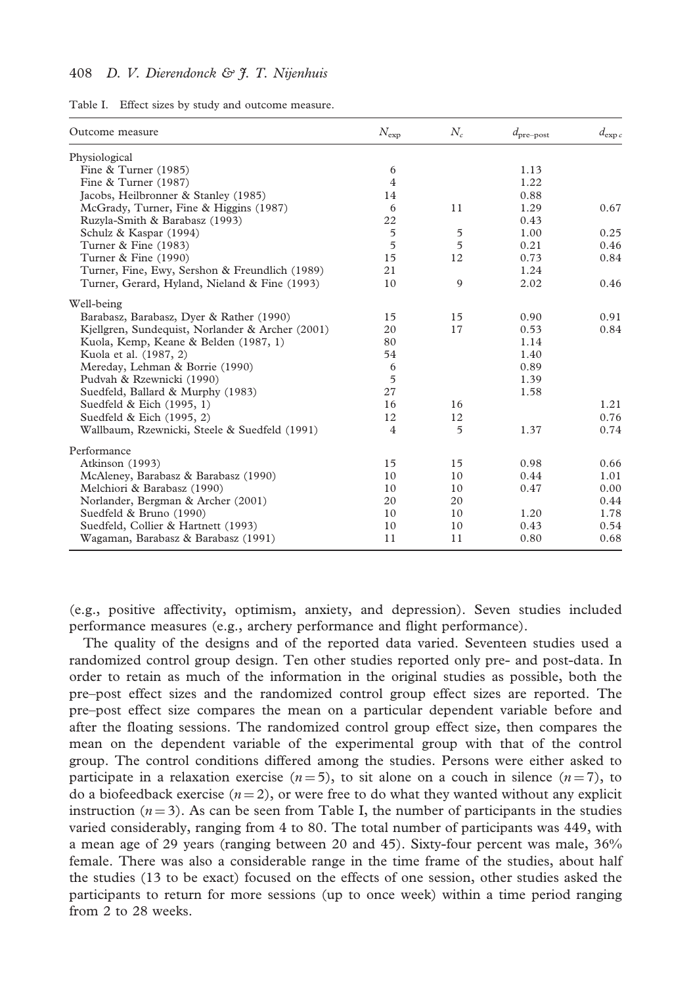# 408 D. V. Dierendonck & J. T. Nijenhuis

| Table I. |  |  |  |  |  | Effect sizes by study and outcome measure. |  |
|----------|--|--|--|--|--|--------------------------------------------|--|
|----------|--|--|--|--|--|--------------------------------------------|--|

| Outcome measure                                  | $N_{\rm exp}$  | $N_c$          | $d_{\text{pre-post}}$ | $d_{\exp c}$ |
|--------------------------------------------------|----------------|----------------|-----------------------|--------------|
| Physiological                                    |                |                |                       |              |
| Fine $&$ Turner (1985)                           | 6              |                | 1.13                  |              |
| Fine & Turner (1987)                             | $\overline{4}$ |                | 1.22                  |              |
| Jacobs, Heilbronner & Stanley (1985)             | 14             |                | 0.88                  |              |
| McGrady, Turner, Fine & Higgins (1987)           | 6              | 11             | 1.29                  | 0.67         |
| Ruzyla-Smith & Barabasz (1993)                   | 22             |                | 0.43                  |              |
| Schulz & Kaspar (1994)                           | 5              | 5              | 1.00                  | 0.25         |
| Turner & Fine (1983)                             | 5              | $\overline{5}$ | 0.21                  | 0.46         |
| Turner & Fine (1990)                             | 15             | 12             | 0.73                  | 0.84         |
| Turner, Fine, Ewy, Sershon & Freundlich (1989)   | 21             |                | 1.24                  |              |
| Turner, Gerard, Hyland, Nieland & Fine (1993)    | 10             | 9              | 2.02                  | 0.46         |
| Well-being                                       |                |                |                       |              |
| Barabasz, Barabasz, Dyer & Rather (1990)         | 15             | 15             | 0.90                  | 0.91         |
| Kjellgren, Sundequist, Norlander & Archer (2001) | 20             | 17             | 0.53                  | 0.84         |
| Kuola, Kemp, Keane & Belden (1987, 1)            | 80             |                | 1.14                  |              |
| Kuola et al. (1987, 2)                           | 54             |                | 1.40                  |              |
| Mereday, Lehman & Borrie (1990)                  | 6              |                | 0.89                  |              |
| Pudvah & Rzewnicki (1990)                        | 5              |                | 1.39                  |              |
| Suedfeld, Ballard & Murphy (1983)                | 27             |                | 1.58                  |              |
| Suedfeld & Eich (1995, 1)                        | 16             | 16             |                       | 1.21         |
| Suedfeld & Eich (1995, 2)                        | 12             | 12             |                       | 0.76         |
| Wallbaum, Rzewnicki, Steele & Suedfeld (1991)    | $\overline{4}$ | $\overline{5}$ | 1.37                  | 0.74         |
| Performance                                      |                |                |                       |              |
| Atkinson (1993)                                  | 15             | 15             | 0.98                  | 0.66         |
| McAleney, Barabasz & Barabasz (1990)             | 10             | 10             | 0.44                  | 1.01         |
| Melchiori & Barabasz (1990)                      | 10             | 10             | 0.47                  | 0.00         |
| Norlander, Bergman & Archer (2001)               | 20             | 20             |                       | 0.44         |
| Suedfeld & Bruno (1990)                          | 10             | 10             | 1.20                  | 1.78         |
| Suedfeld, Collier & Hartnett (1993)              | 10             | 10             | 0.43                  | 0.54         |
| Wagaman, Barabasz & Barabasz (1991)              | 11             | 11             | 0.80                  | 0.68         |

(e.g., positive affectivity, optimism, anxiety, and depression). Seven studies included performance measures (e.g., archery performance and flight performance).

The quality of the designs and of the reported data varied. Seventeen studies used a randomized control group design. Ten other studies reported only pre- and post-data. In order to retain as much of the information in the original studies as possible, both the pre–post effect sizes and the randomized control group effect sizes are reported. The pre–post effect size compares the mean on a particular dependent variable before and after the floating sessions. The randomized control group effect size, then compares the mean on the dependent variable of the experimental group with that of the control group. The control conditions differed among the studies. Persons were either asked to participate in a relaxation exercise  $(n=5)$ , to sit alone on a couch in silence  $(n=7)$ , to do a biofeedback exercise  $(n = 2)$ , or were free to do what they wanted without any explicit instruction  $(n=3)$ . As can be seen from Table I, the number of participants in the studies varied considerably, ranging from 4 to 80. The total number of participants was 449, with a mean age of 29 years (ranging between 20 and 45). Sixty-four percent was male, 36% female. There was also a considerable range in the time frame of the studies, about half the studies (13 to be exact) focused on the effects of one session, other studies asked the participants to return for more sessions (up to once week) within a time period ranging from 2 to 28 weeks.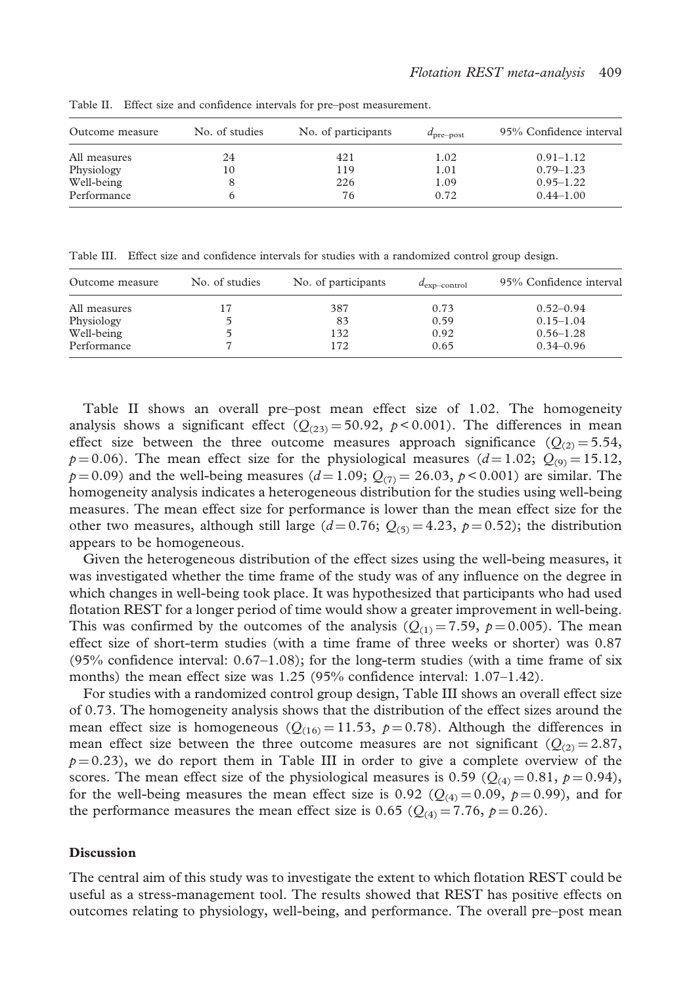| Outcome measure | No. of studies | No. of participants | $d_{pre-post}$ | 95% Confidence interval |
|-----------------|----------------|---------------------|----------------|-------------------------|
| All measures    | 24             | 421                 | 1.02           | $0.91 - 1.12$           |
| Physiology      | 10             | 119                 | 1.01           | $0.79 - 1.23$           |
| Well-being      |                | 226                 | 1.09           | $0.95 - 1.22$           |
| Performance     |                | 76                  | 0.72           | $0.44 - 1.00$           |

Table II. Effect size and confidence intervals for pre–post measurement.

Table III. Effect size and confidence intervals for studies with a randomized control group design.

| Outcome measure | No. of studies | No. of participants | $d_{\text{exp-control}}$ | 95% Confidence interval |
|-----------------|----------------|---------------------|--------------------------|-------------------------|
| All measures    |                | 387                 | 0.73                     | $0.52 - 0.94$           |
| Physiology      |                | 83                  | 0.59                     | $0.15 - 1.04$           |
| Well-being      |                | 132                 | 0.92                     | $0.56 - 1.28$           |
| Performance     |                | 172                 | 0.65                     | $0.34 - 0.96$           |

Table II shows an overall pre–post mean effect size of 1.02. The homogeneity analysis shows a significant effect  $(Q_{(23)} = 50.92, p < 0.001)$ . The differences in mean effect size between the three outcome measures approach significance  $(Q_{(2)} = 5.54,$  $p=0.06$ ). The mean effect size for the physiological measures ( $d=1.02$ ;  $Q_{(9)}=15.12$ ,  $p = 0.09$ ) and the well-being measures  $(d = 1.09; Q_{(7)} = 26.03, p < 0.001)$  are similar. The homogeneity analysis indicates a heterogeneous distribution for the studies using well-being measures. The mean effect size for performance is lower than the mean effect size for the other two measures, although still large  $(d=0.76; Q_{(5)}=4.23, p=0.52)$ ; the distribution appears to be homogeneous.

Given the heterogeneous distribution of the effect sizes using the well-being measures, it was investigated whether the time frame of the study was of any influence on the degree in which changes in well-being took place. It was hypothesized that participants who had used flotation REST for a longer period of time would show a greater improvement in well-being. This was confirmed by the outcomes of the analysis  $(Q_{(1)} = 7.59, p = 0.005)$ . The mean effect size of short-term studies (with a time frame of three weeks or shorter) was 0.87  $(95\%$  confidence interval:  $0.67-1.08$ ); for the long-term studies (with a time frame of six months) the mean effect size was 1.25 (95% confidence interval: 1.07–1.42).

For studies with a randomized control group design, Table III shows an overall effect size of 0.73. The homogeneity analysis shows that the distribution of the effect sizes around the mean effect size is homogeneous ( $Q_{(16)} = 11.53$ ,  $p = 0.78$ ). Although the differences in mean effect size between the three outcome measures are not significant  $(Q_{(2)} = 2.87,$  $p = 0.23$ , we do report them in Table III in order to give a complete overview of the scores. The mean effect size of the physiological measures is 0.59 ( $Q_{(4)} = 0.81$ ,  $p = 0.94$ ), for the well-being measures the mean effect size is 0.92 ( $Q_{(4)} = 0.09$ ,  $p = 0.99$ ), and for the performance measures the mean effect size is 0.65 ( $Q_{(4)} = 7.76$ ,  $p = 0.26$ ).

#### **Discussion**

The central aim of this study was to investigate the extent to which flotation REST could be useful as a stress-management tool. The results showed that REST has positive effects on outcomes relating to physiology, well-being, and performance. The overall pre–post mean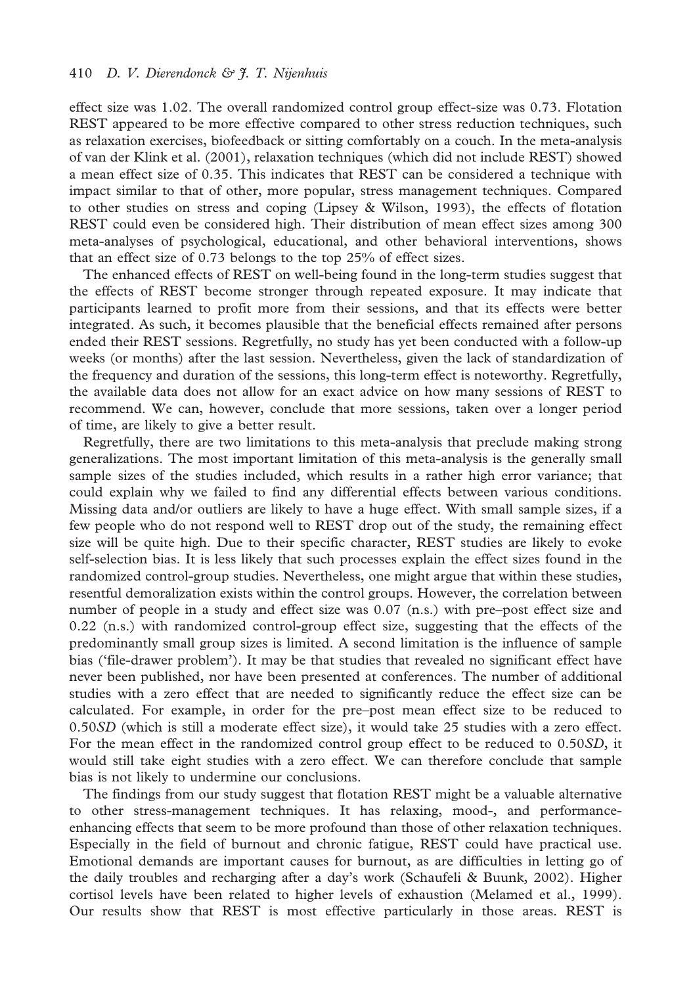effect size was 1.02. The overall randomized control group effect-size was 0.73. Flotation REST appeared to be more effective compared to other stress reduction techniques, such as relaxation exercises, biofeedback or sitting comfortably on a couch. In the meta-analysis of van der Klink et al. (2001), relaxation techniques (which did not include REST) showed a mean effect size of 0.35. This indicates that REST can be considered a technique with impact similar to that of other, more popular, stress management techniques. Compared to other studies on stress and coping (Lipsey & Wilson, 1993), the effects of flotation REST could even be considered high. Their distribution of mean effect sizes among 300 meta-analyses of psychological, educational, and other behavioral interventions, shows that an effect size of 0.73 belongs to the top 25% of effect sizes.

The enhanced effects of REST on well-being found in the long-term studies suggest that the effects of REST become stronger through repeated exposure. It may indicate that participants learned to profit more from their sessions, and that its effects were better integrated. As such, it becomes plausible that the beneficial effects remained after persons ended their REST sessions. Regretfully, no study has yet been conducted with a follow-up weeks (or months) after the last session. Nevertheless, given the lack of standardization of the frequency and duration of the sessions, this long-term effect is noteworthy. Regretfully, the available data does not allow for an exact advice on how many sessions of REST to recommend. We can, however, conclude that more sessions, taken over a longer period of time, are likely to give a better result.

Regretfully, there are two limitations to this meta-analysis that preclude making strong generalizations. The most important limitation of this meta-analysis is the generally small sample sizes of the studies included, which results in a rather high error variance; that could explain why we failed to find any differential effects between various conditions. Missing data and/or outliers are likely to have a huge effect. With small sample sizes, if a few people who do not respond well to REST drop out of the study, the remaining effect size will be quite high. Due to their specific character, REST studies are likely to evoke self-selection bias. It is less likely that such processes explain the effect sizes found in the randomized control-group studies. Nevertheless, one might argue that within these studies, resentful demoralization exists within the control groups. However, the correlation between number of people in a study and effect size was 0.07 (n.s.) with pre–post effect size and 0.22 (n.s.) with randomized control-group effect size, suggesting that the effects of the predominantly small group sizes is limited. A second limitation is the influence of sample bias ('file-drawer problem'). It may be that studies that revealed no significant effect have never been published, nor have been presented at conferences. The number of additional studies with a zero effect that are needed to significantly reduce the effect size can be calculated. For example, in order for the pre–post mean effect size to be reduced to 0.50SD (which is still a moderate effect size), it would take 25 studies with a zero effect. For the mean effect in the randomized control group effect to be reduced to 0.50SD, it would still take eight studies with a zero effect. We can therefore conclude that sample bias is not likely to undermine our conclusions.

The findings from our study suggest that flotation REST might be a valuable alternative to other stress-management techniques. It has relaxing, mood-, and performanceenhancing effects that seem to be more profound than those of other relaxation techniques. Especially in the field of burnout and chronic fatigue, REST could have practical use. Emotional demands are important causes for burnout, as are difficulties in letting go of the daily troubles and recharging after a day's work (Schaufeli & Buunk, 2002). Higher cortisol levels have been related to higher levels of exhaustion (Melamed et al., 1999). Our results show that REST is most effective particularly in those areas. REST is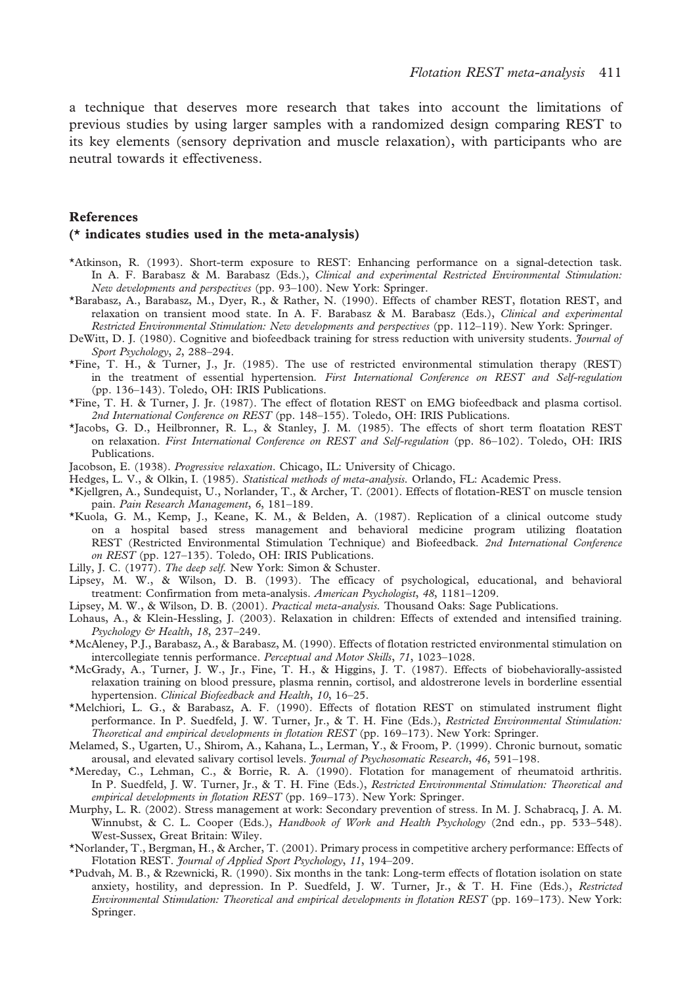a technique that deserves more research that takes into account the limitations of previous studies by using larger samples with a randomized design comparing REST to its key elements (sensory deprivation and muscle relaxation), with participants who are neutral towards it effectiveness.

## References

#### (\* indicates studies used in the meta-analysis)

- \*Atkinson, R. (1993). Short-term exposure to REST: Enhancing performance on a signal-detection task. In A. F. Barabasz & M. Barabasz (Eds.), Clinical and experimental Restricted Environmental Stimulation: New developments and perspectives (pp. 93–100). New York: Springer.
- \*Barabasz, A., Barabasz, M., Dyer, R., & Rather, N. (1990). Effects of chamber REST, flotation REST, and relaxation on transient mood state. In A. F. Barabasz & M. Barabasz (Eds.), Clinical and experimental Restricted Environmental Stimulation: New developments and perspectives (pp. 112–119). New York: Springer.
- DeWitt, D. J. (1980). Cognitive and biofeedback training for stress reduction with university students. Journal of Sport Psychology, 2, 288–294.
- \*Fine, T. H., & Turner, J., Jr. (1985). The use of restricted environmental stimulation therapy (REST) in the treatment of essential hypertension. First International Conference on REST and Self-regulation (pp. 136–143). Toledo, OH: IRIS Publications.
- \*Fine, T. H. & Turner, J. Jr. (1987). The effect of flotation REST on EMG biofeedback and plasma cortisol. 2nd International Conference on REST (pp. 148–155). Toledo, OH: IRIS Publications.
- \*Jacobs, G. D., Heilbronner, R. L., & Stanley, J. M. (1985). The effects of short term floatation REST on relaxation. First International Conference on REST and Self-regulation (pp. 86–102). Toledo, OH: IRIS Publications.
- Jacobson, E. (1938). Progressive relaxation. Chicago, IL: University of Chicago.
- Hedges, L. V., & Olkin, I. (1985). Statistical methods of meta-analysis. Orlando, FL: Academic Press.
- \*Kjellgren, A., Sundequist, U., Norlander, T., & Archer, T. (2001). Effects of flotation-REST on muscle tension pain. Pain Research Management, 6, 181–189.
- \*Kuola, G. M., Kemp, J., Keane, K. M., & Belden, A. (1987). Replication of a clinical outcome study on a hospital based stress management and behavioral medicine program utilizing floatation REST (Restricted Environmental Stimulation Technique) and Biofeedback. 2nd International Conference on REST (pp. 127–135). Toledo, OH: IRIS Publications.
- Lilly, J. C. (1977). The deep self. New York: Simon & Schuster.
- Lipsey, M. W., & Wilson, D. B. (1993). The efficacy of psychological, educational, and behavioral treatment: Confirmation from meta-analysis. American Psychologist, 48, 1181–1209.
- Lipsey, M. W., & Wilson, D. B. (2001). Practical meta-analysis. Thousand Oaks: Sage Publications.
- Lohaus, A., & Klein-Hessling, J. (2003). Relaxation in children: Effects of extended and intensified training. Psychology & Health, 18, 237–249.
- \*McAleney, P.J., Barabasz, A., & Barabasz, M. (1990). Effects of flotation restricted environmental stimulation on intercollegiate tennis performance. Perceptual and Motor Skills, 71, 1023–1028.
- \*McGrady, A., Turner, J. W., Jr., Fine, T. H., & Higgins, J. T. (1987). Effects of biobehaviorally-assisted relaxation training on blood pressure, plasma rennin, cortisol, and aldostrerone levels in borderline essential hypertension. Clinical Biofeedback and Health, 10, 16-25.
- \*Melchiori, L. G., & Barabasz, A. F. (1990). Effects of flotation REST on stimulated instrument flight performance. In P. Suedfeld, J. W. Turner, Jr., & T. H. Fine (Eds.), Restricted Environmental Stimulation: Theoretical and empirical developments in flotation REST (pp. 169–173). New York: Springer.
- Melamed, S., Ugarten, U., Shirom, A., Kahana, L., Lerman, Y., & Froom, P. (1999). Chronic burnout, somatic arousal, and elevated salivary cortisol levels. *Journal of Psychosomatic Research*, 46, 591-198.
- \*Mereday, C., Lehman, C., & Borrie, R. A. (1990). Flotation for management of rheumatoid arthritis. In P. Suedfeld, J. W. Turner, Jr., & T. H. Fine (Eds.), Restricted Environmental Stimulation: Theoretical and empirical developments in flotation REST (pp. 169–173). New York: Springer.
- Murphy, L. R. (2002). Stress management at work: Secondary prevention of stress. In M. J. Schabracq, J. A. M. Winnubst, & C. L. Cooper (Eds.), Handbook of Work and Health Psychology (2nd edn., pp. 533–548). West-Sussex, Great Britain: Wiley.
- \*Norlander, T., Bergman, H., & Archer, T. (2001). Primary process in competitive archery performance: Effects of Flotation REST. Journal of Applied Sport Psychology, 11, 194–209.
- \*Pudvah, M. B., & Rzewnicki, R. (1990). Six months in the tank: Long-term effects of flotation isolation on state anxiety, hostility, and depression. In P. Suedfeld, J. W. Turner, Jr., & T. H. Fine (Eds.), Restricted Environmental Stimulation: Theoretical and empirical developments in flotation REST (pp. 169–173). New York: Springer.